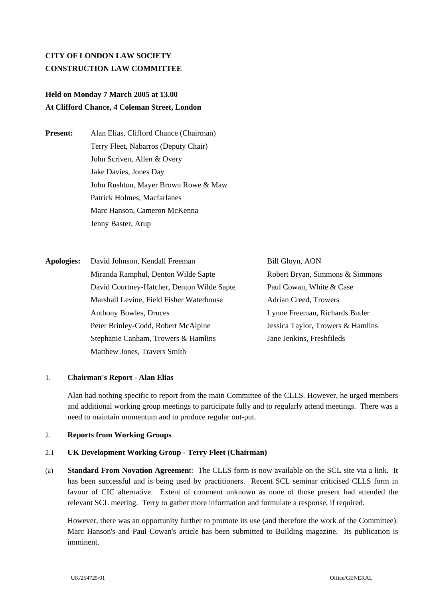# **CITY OF LONDON LAW SOCIETY CONSTRUCTION LAW COMMITTEE**

# **Held on Monday 7 March 2005 at 13.00 At Clifford Chance, 4 Coleman Street, London**

**Present:** Alan Elias, Clifford Chance (Chairman) Terry Fleet, Nabarros (Deputy Chair) John Scriven, Allen & Overy Jake Davies, Jones Day John Rushton, Mayer Brown Rowe & Maw Patrick Holmes, Macfarlanes Marc Hanson, Cameron McKenna Jenny Baster, Arup

**Apologies:** David Johnson, Kendall Freeman Bill Glovn, AON Miranda Ramphul, Denton Wilde Sapte Robert Bryan, Simmons & Simmons David Courtney-Hatcher, Denton Wilde Sapte Paul Cowan, White & Case Marshall Levine, Field Fisher Waterhouse Adrian Creed, Trowers Anthony Bowles, Druces Lynne Freeman, Richards Butler Peter Brinley-Codd, Robert McAlpine Jessica Taylor, Trowers & Hamlins Stephanie Canham, Trowers & Hamlins Jane Jenkins, Freshfileds Matthew Jones, Travers Smith

### 1. **Chairman's Report - Alan Elias**

Alan had nothing specific to report from the main Committee of the CLLS. However, he urged members and additional working group meetings to participate fully and to regularly attend meetings. There was a need to maintain momentum and to produce regular out-put.

#### 2. **Reports from Working Groups**

#### 2.1 **UK Development Working Group - Terry Fleet (Chairman)**

(a) **Standard From Novation Agreemen**t: The CLLS form is now available on the SCL site via a link. It has been successful and is being used by practitioners. Recent SCL seminar criticised CLLS form in favour of CIC alternative. Extent of comment unknown as none of those present had attended the relevant SCL meeting. Terry to gather more information and formulate a response, if required.

However, there was an opportunity further to promote its use (and therefore the work of the Committee). Marc Hanson's and Paul Cowan's article has been submitted to Building magazine. Its publication is imminent.